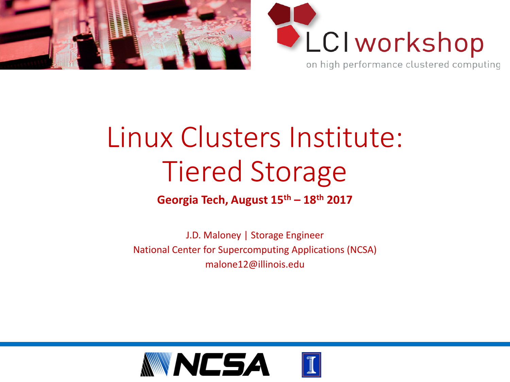



## Linux Clusters Institute: Tiered Storage

#### **Georgia Tech, August 15th – 18th 2017**

J.D. Maloney | Storage Engineer National Center for Supercomputing Applications (NCSA) malone12@illinois.edu

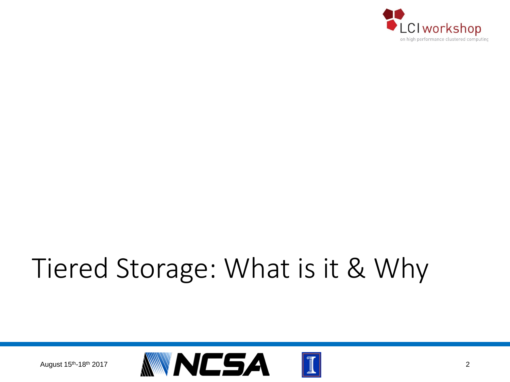

## Tiered Storage: What is it & Why

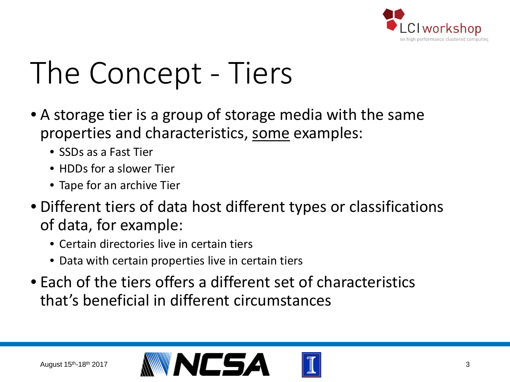

## The Concept - Tiers

- A storage tier is a group of storage media with the same properties and characteristics, some examples:
	- SSDs as a Fast Tier
	- HDDs for a slower Tier
	- Tape for an archive Tier
- Different tiers of data host different types or classifications of data, for example:
	- Certain directories live in certain tiers
	- Data with certain properties live in certain tiers
- Each of the tiers offers a different set of characteristics that's beneficial in different circumstances

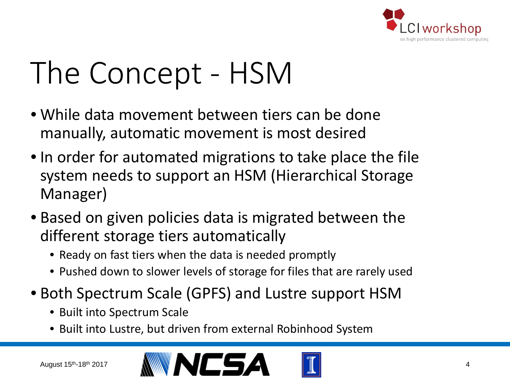

## The Concept - HSM

- While data movement between tiers can be done manually, automatic movement is most desired
- In order for automated migrations to take place the file system needs to support an HSM (Hierarchical Storage Manager)
- Based on given policies data is migrated between the different storage tiers automatically
	- Ready on fast tiers when the data is needed promptly
	- Pushed down to slower levels of storage for files that are rarely used
- Both Spectrum Scale (GPFS) and Lustre support HSM
	- Built into Spectrum Scale
	- Built into Lustre, but driven from external Robinhood System



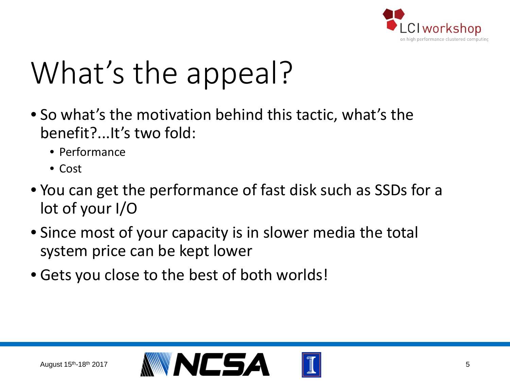

## What's the appeal?

- So what's the motivation behind this tactic, what's the benefit?...It's two fold:
	- Performance
	- Cost
- You can get the performance of fast disk such as SSDs for a lot of your I/O
- Since most of your capacity is in slower media the total system price can be kept lower
- Gets you close to the best of both worlds!

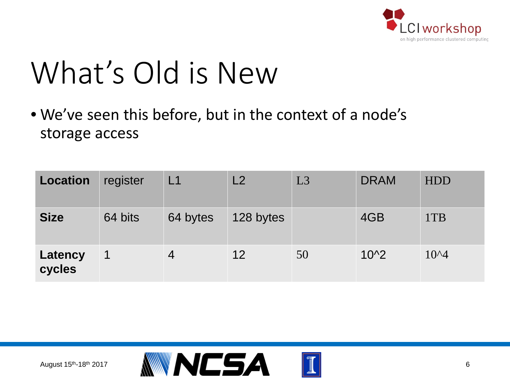

## What's Old is New

• We've seen this before, but in the context of a node's storage access

| <b>Location</b>   | register             | L <sub>1</sub> | L2        | L3 | <b>DRAM</b> | <b>HDD</b> |
|-------------------|----------------------|----------------|-----------|----|-------------|------------|
| <b>Size</b>       | 64 bits              | 64 bytes       | 128 bytes |    | 4GB         | 1TB        |
| Latency<br>cycles | $\blacktriangleleft$ | 4              | 12        | 50 | $10^{2}$    | $10^{4}$   |

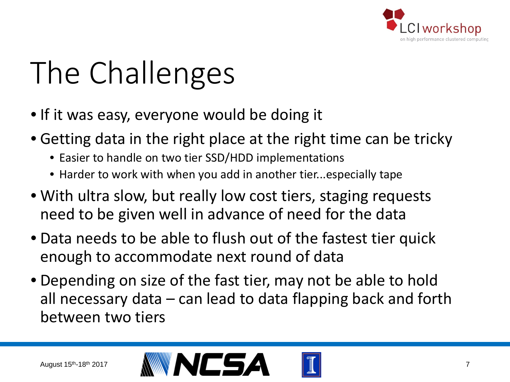

# The Challenges

- If it was easy, everyone would be doing it
- Getting data in the right place at the right time can be tricky
	- Easier to handle on two tier SSD/HDD implementations
	- Harder to work with when you add in another tier...especially tape
- With ultra slow, but really low cost tiers, staging requests need to be given well in advance of need for the data
- Data needs to be able to flush out of the fastest tier quick enough to accommodate next round of data
- Depending on size of the fast tier, may not be able to hold all necessary data – can lead to data flapping back and forth between two tiers

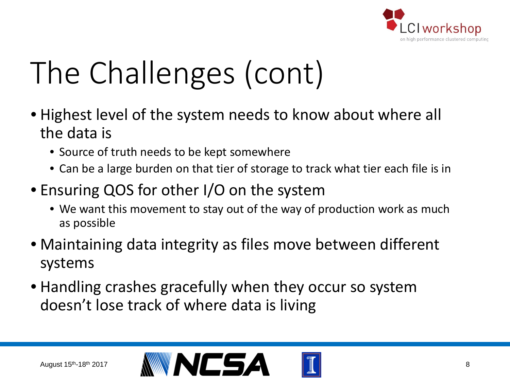

# The Challenges (cont)

- Highest level of the system needs to know about where all the data is
	- Source of truth needs to be kept somewhere
	- Can be a large burden on that tier of storage to track what tier each file is in
- Ensuring QOS for other I/O on the system
	- We want this movement to stay out of the way of production work as much as possible
- Maintaining data integrity as files move between different systems
- Handling crashes gracefully when they occur so system doesn't lose track of where data is living

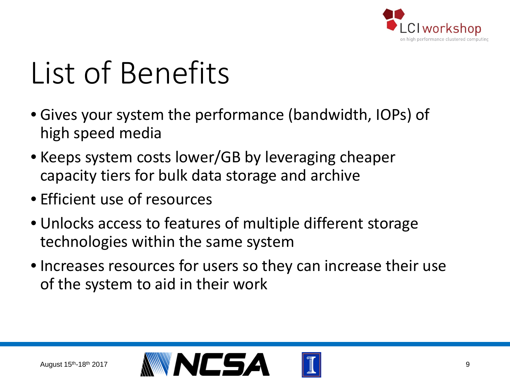

# List of Benefits

- Gives your system the performance (bandwidth, IOPs) of high speed media
- Keeps system costs lower/GB by leveraging cheaper capacity tiers for bulk data storage and archive
- Efficient use of resources
- Unlocks access to features of multiple different storage technologies within the same system
- Increases resources for users so they can increase their use of the system to aid in their work

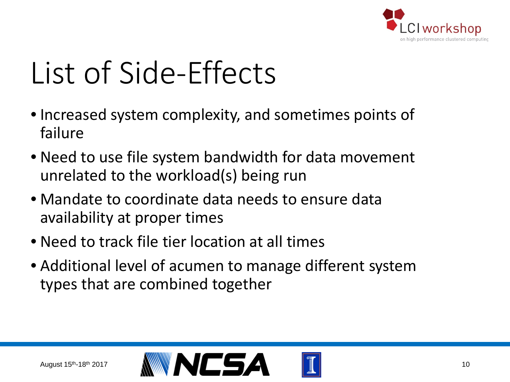

## List of Side-Effects

- Increased system complexity, and sometimes points of failure
- Need to use file system bandwidth for data movement unrelated to the workload(s) being run
- Mandate to coordinate data needs to ensure data availability at proper times
- Need to track file tier location at all times
- Additional level of acumen to manage different system types that are combined together

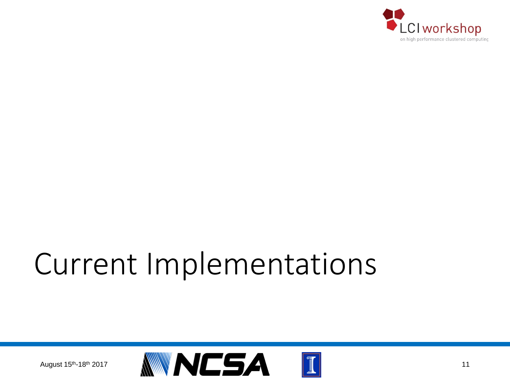

## Current Implementations

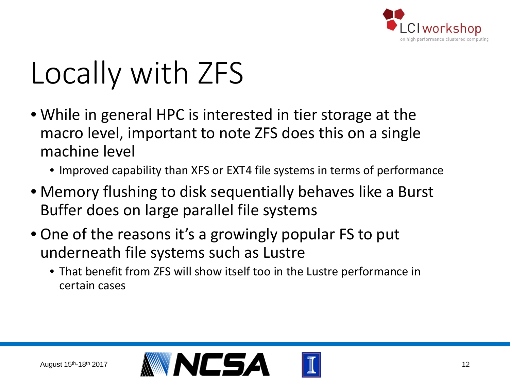

# Locally with ZFS

- While in general HPC is interested in tier storage at the macro level, important to note ZFS does this on a single machine level
	- Improved capability than XFS or EXT4 file systems in terms of performance
- Memory flushing to disk sequentially behaves like a Burst Buffer does on large parallel file systems
- One of the reasons it's a growingly popular FS to put underneath file systems such as Lustre
	- That benefit from ZFS will show itself too in the Lustre performance in certain cases

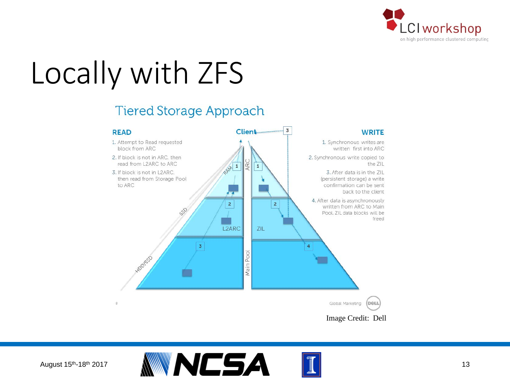

# Locally with ZFS

#### **Tiered Storage Approach**





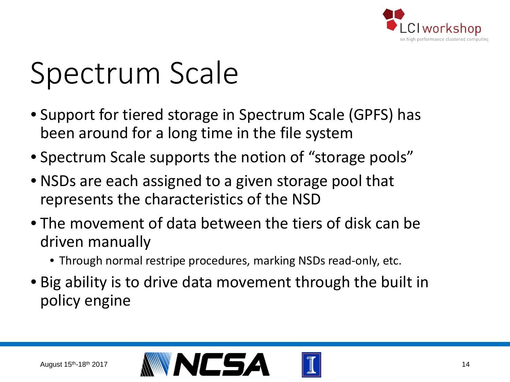

- Support for tiered storage in Spectrum Scale (GPFS) has been around for a long time in the file system
- Spectrum Scale supports the notion of "storage pools"
- NSDs are each assigned to a given storage pool that represents the characteristics of the NSD
- The movement of data between the tiers of disk can be driven manually
	- Through normal restripe procedures, marking NSDs read-only, etc.
- Big ability is to drive data movement through the built in policy engine

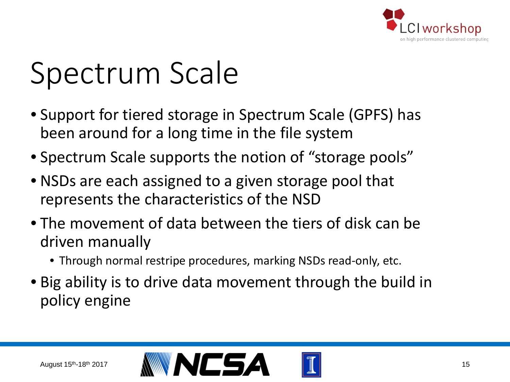

- Support for tiered storage in Spectrum Scale (GPFS) has been around for a long time in the file system
- Spectrum Scale supports the notion of "storage pools"
- NSDs are each assigned to a given storage pool that represents the characteristics of the NSD
- The movement of data between the tiers of disk can be driven manually
	- Through normal restripe procedures, marking NSDs read-only, etc.
- Big ability is to drive data movement through the build in policy engine

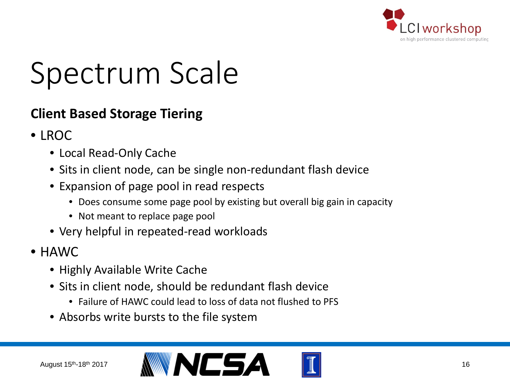

#### **Client Based Storage Tiering**

- LROC
	- Local Read-Only Cache
	- Sits in client node, can be single non-redundant flash device
	- Expansion of page pool in read respects
		- Does consume some page pool by existing but overall big gain in capacity
		- Not meant to replace page pool
	- Very helpful in repeated-read workloads
- HAWC
	- Highly Available Write Cache
	- Sits in client node, should be redundant flash device
		- Failure of HAWC could lead to loss of data not flushed to PFS
	- Absorbs write bursts to the file system

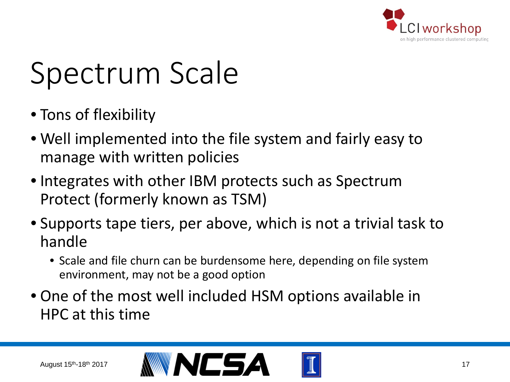

- Tons of flexibility
- Well implemented into the file system and fairly easy to manage with written policies
- Integrates with other IBM protects such as Spectrum Protect (formerly known as TSM)
- Supports tape tiers, per above, which is not a trivial task to handle
	- Scale and file churn can be burdensome here, depending on file system environment, may not be a good option
- One of the most well included HSM options available in HPC at this time

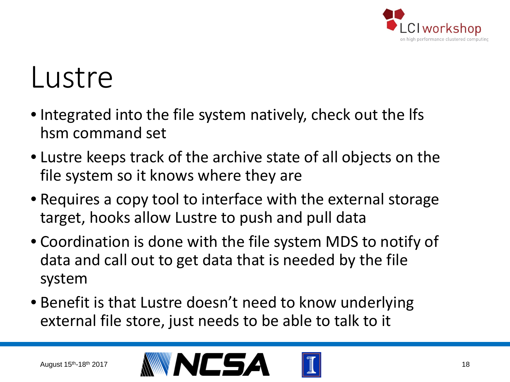

### Lustre

- Integrated into the file system natively, check out the lfs hsm command set
- Lustre keeps track of the archive state of all objects on the file system so it knows where they are
- Requires a copy tool to interface with the external storage target, hooks allow Lustre to push and pull data
- Coordination is done with the file system MDS to notify of data and call out to get data that is needed by the file system
- Benefit is that Lustre doesn't need to know underlying external file store, just needs to be able to talk to it

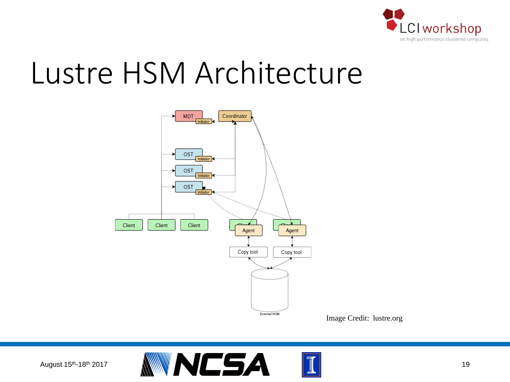

### Lustre HSM Architecture



Image Credit: lustre.org

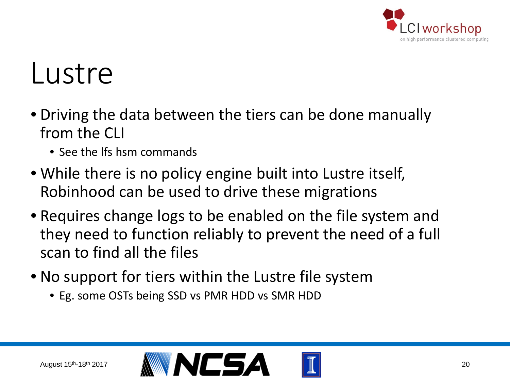

### Lustre

- Driving the data between the tiers can be done manually from the CLI
	- See the lfs hsm commands
- While there is no policy engine built into Lustre itself, Robinhood can be used to drive these migrations
- Requires change logs to be enabled on the file system and they need to function reliably to prevent the need of a full scan to find all the files
- No support for tiers within the Lustre file system
	- Eg. some OSTs being SSD vs PMR HDD vs SMR HDD

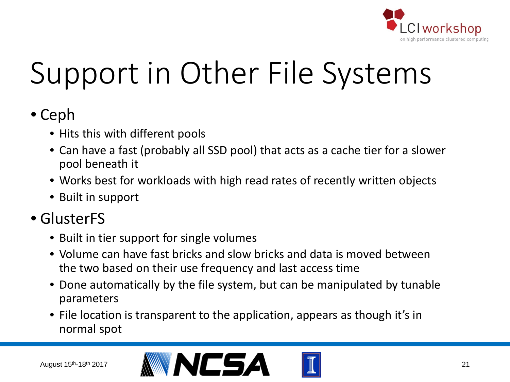

# Support in Other File Systems

### • Ceph

- Hits this with different pools
- Can have a fast (probably all SSD pool) that acts as a cache tier for a slower pool beneath it
- Works best for workloads with high read rates of recently written objects
- Built in support

### • GlusterFS

- Built in tier support for single volumes
- Volume can have fast bricks and slow bricks and data is moved between the two based on their use frequency and last access time
- Done automatically by the file system, but can be manipulated by tunable parameters
- File location is transparent to the application, appears as though it's in normal spot

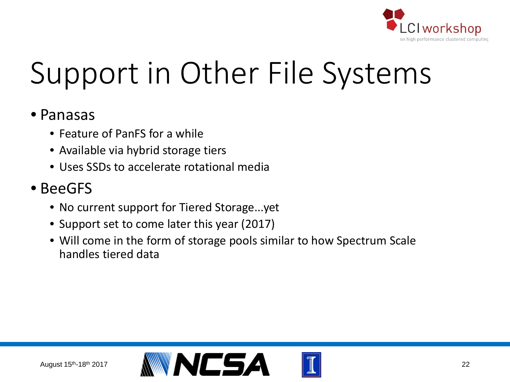

# Support in Other File Systems

#### • Panasas

- Feature of PanFS for a while
- Available via hybrid storage tiers
- Uses SSDs to accelerate rotational media

### • BeeGFS

- No current support for Tiered Storage...yet
- Support set to come later this year (2017)
- Will come in the form of storage pools similar to how Spectrum Scale handles tiered data

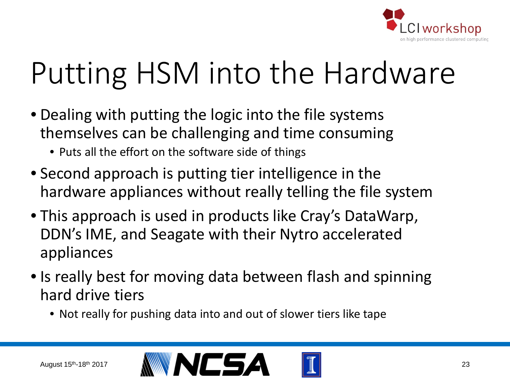

- Dealing with putting the logic into the file systems themselves can be challenging and time consuming
	- Puts all the effort on the software side of things
- Second approach is putting tier intelligence in the hardware appliances without really telling the file system
- This approach is used in products like Cray's DataWarp, DDN's IME, and Seagate with their Nytro accelerated appliances
- Is really best for moving data between flash and spinning hard drive tiers
	- Not really for pushing data into and out of slower tiers like tape



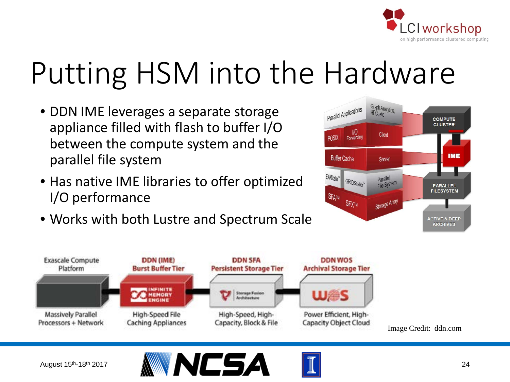

- DDN IME leverages a separate storage appliance filled with flash to buffer I/O between the compute system and the parallel file system
- Has native IME libraries to offer optimized I/O performance
- Works with both Lustre and Spectrum Scale





Image Credit: ddn.com



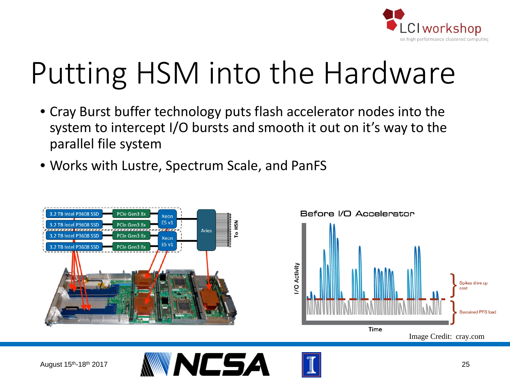

- Cray Burst buffer technology puts flash accelerator nodes into the system to intercept I/O bursts and smooth it out on it's way to the parallel file system
- Works with Lustre, Spectrum Scale, and PanFS





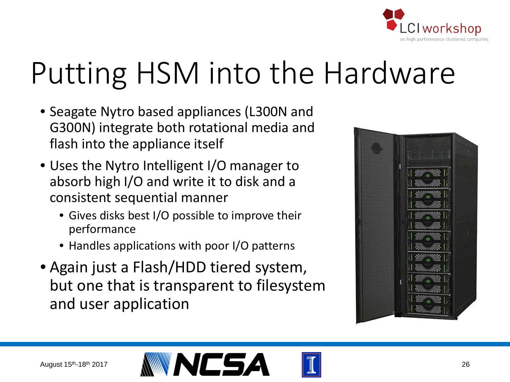

- Seagate Nytro based appliances (L300N and G300N) integrate both rotational media and flash into the appliance itself
- Uses the Nytro Intelligent I/O manager to absorb high I/O and write it to disk and a consistent sequential manner
	- Gives disks best I/O possible to improve their performance
	- Handles applications with poor I/O patterns
- Again just a Flash/HDD tiered system, but one that is transparent to filesystem and user application





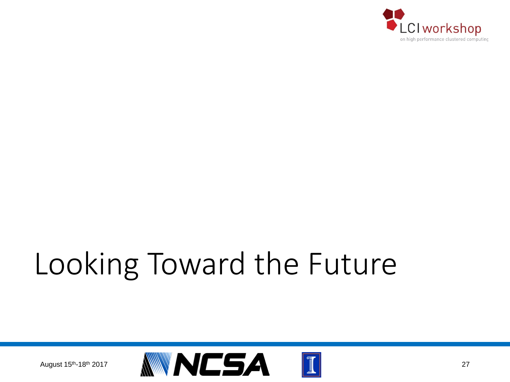

# Looking Toward the Future

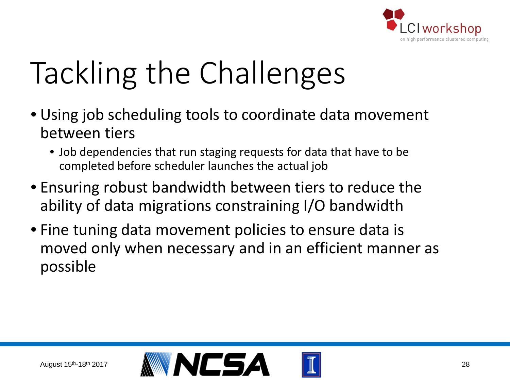

# Tackling the Challenges

- Using job scheduling tools to coordinate data movement between tiers
	- Job dependencies that run staging requests for data that have to be completed before scheduler launches the actual job
- Ensuring robust bandwidth between tiers to reduce the ability of data migrations constraining I/O bandwidth
- Fine tuning data movement policies to ensure data is moved only when necessary and in an efficient manner as possible

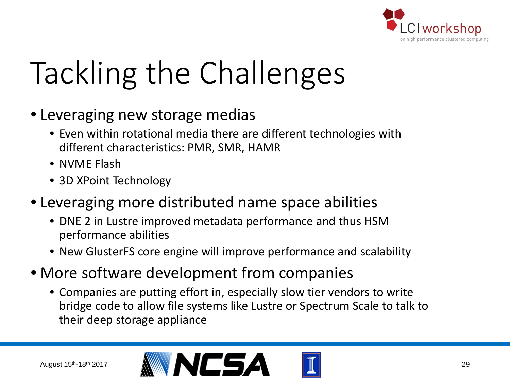

# Tackling the Challenges

- Leveraging new storage medias
	- Even within rotational media there are different technologies with different characteristics: PMR, SMR, HAMR
	- NVME Flash
	- 3D XPoint Technology
- Leveraging more distributed name space abilities
	- DNE 2 in Lustre improved metadata performance and thus HSM performance abilities
	- New GlusterFS core engine will improve performance and scalability
- More software development from companies
	- Companies are putting effort in, especially slow tier vendors to write bridge code to allow file systems like Lustre or Spectrum Scale to talk to their deep storage appliance



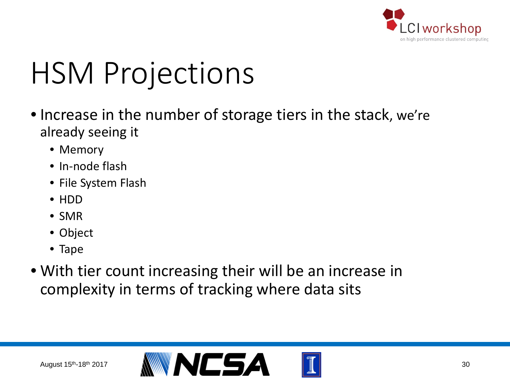

## HSM Projections

- Increase in the number of storage tiers in the stack, we're already seeing it
	- Memory
	- In-node flash
	- File System Flash
	- HDD
	- SMR
	- Object
	- Tape
- With tier count increasing their will be an increase in complexity in terms of tracking where data sits

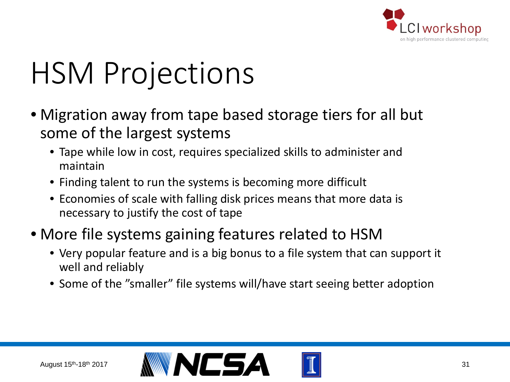

## HSM Projections

- Migration away from tape based storage tiers for all but some of the largest systems
	- Tape while low in cost, requires specialized skills to administer and maintain
	- Finding talent to run the systems is becoming more difficult
	- Economies of scale with falling disk prices means that more data is necessary to justify the cost of tape
- More file systems gaining features related to HSM
	- Very popular feature and is a big bonus to a file system that can support it well and reliably
	- Some of the "smaller" file systems will/have start seeing better adoption

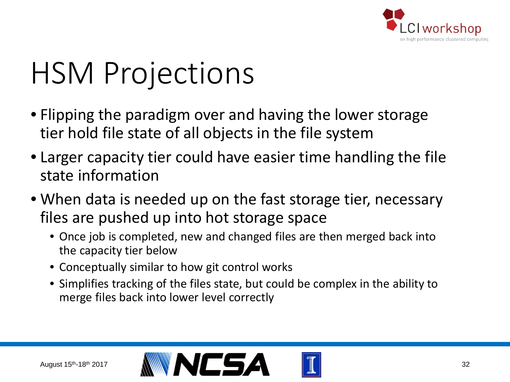

## HSM Projections

- Flipping the paradigm over and having the lower storage tier hold file state of all objects in the file system
- Larger capacity tier could have easier time handling the file state information
- When data is needed up on the fast storage tier, necessary files are pushed up into hot storage space
	- Once job is completed, new and changed files are then merged back into the capacity tier below
	- Conceptually similar to how git control works
	- Simplifies tracking of the files state, but could be complex in the ability to merge files back into lower level correctly

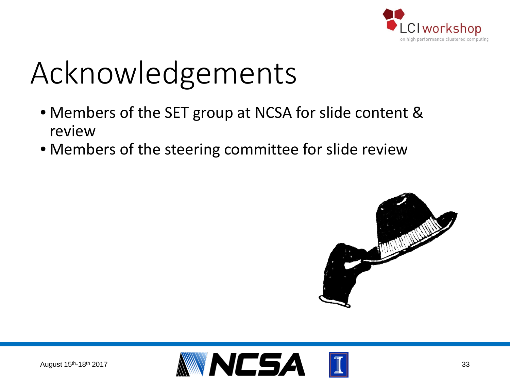

# Acknowledgements

- Members of the SET group at NCSA for slide content & review
- Members of the steering committee for slide review